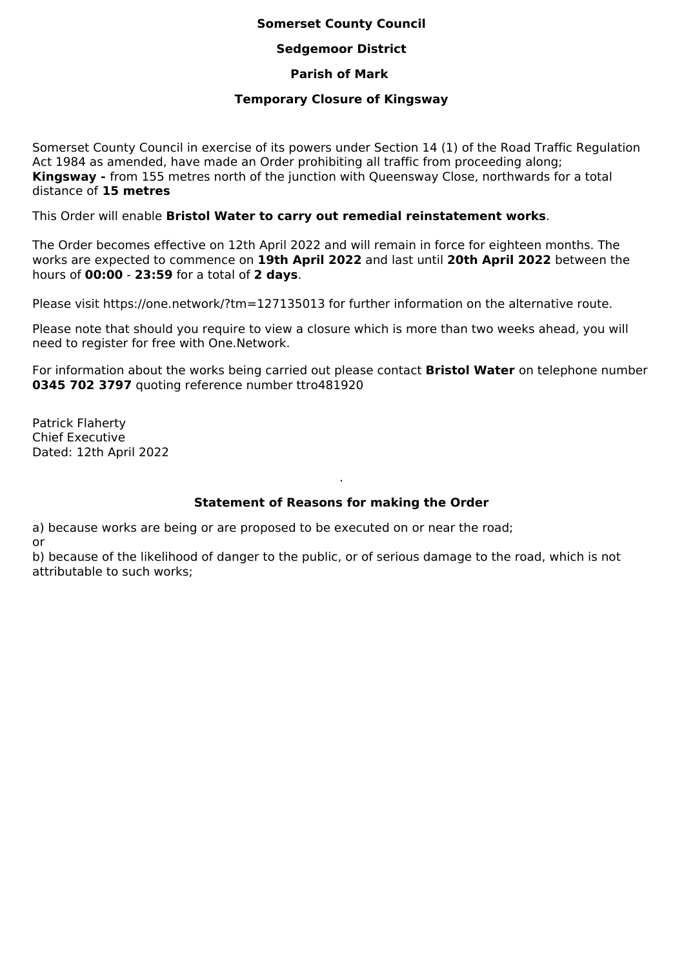## **Somerset County Council**

### **Sedgemoor District**

### **Parish of Mark**

#### **Temporary Closure of Kingsway**

Somerset County Council in exercise of its powers under Section 14 (1) of the Road Traffic Regulation Act 1984 as amended, have made an Order prohibiting all traffic from proceeding along; **Kingsway -** from 155 metres north of the junction with Queensway Close, northwards for a total distance of **15 metres**

This Order will enable **Bristol Water to carry out remedial reinstatement works**.

The Order becomes effective on 12th April 2022 and will remain in force for eighteen months. The works are expected to commence on **19th April 2022** and last until **20th April 2022** between the hours of **00:00** - **23:59** for a total of **2 days**.

Please visit https://one.network/?tm=127135013 for further information on the alternative route.

Please note that should you require to view a closure which is more than two weeks ahead, you will need to register for free with One.Network.

For information about the works being carried out please contact **Bristol Water** on telephone number **0345 702 3797** quoting reference number ttro481920

Patrick Flaherty Chief Executive Dated: 12th April 2022

# **Statement of Reasons for making the Order**

.

a) because works are being or are proposed to be executed on or near the road; or

b) because of the likelihood of danger to the public, or of serious damage to the road, which is not attributable to such works;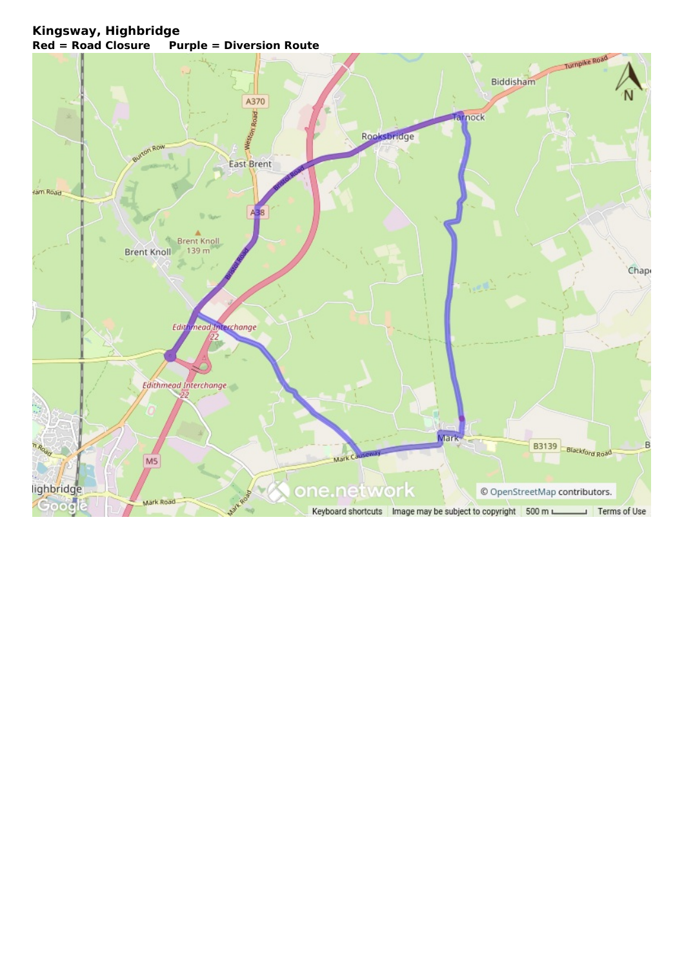# **Kingsway, Highbridge Red = Road Closure Purple = Diversion Route**